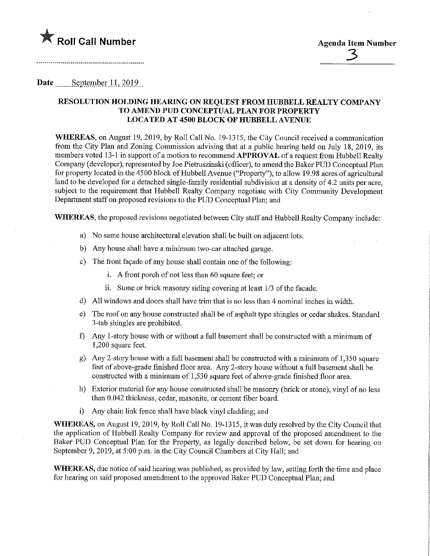

# Date September 11, 2019

## RESOLUTION HOLDING HEARING ON REQUEST FROM HUBBELL REALTY COMPANY TO AMEND PUB CONCEPTUAL PLAN FOR PROPERTY LOCATED AT 4500 BLOCK OF HUBBELL AVENUE

WHEREAS, on August 19, 2019, by Roll Call No. 19-1315, the City Council received a communication from the City Plan and Zoning Commission advising that at a public hearing held on July 18, 2019, its members voted 13-1 in support of a motion to recommend **APPROVAL** of a request from Hubbell Realty Company (developer), represented by Joe Pietruszinski (officer), to amend the Baker PUD Conceptual Plan for property located in the 4500 block of Hubbell Avenue ("Property"), to allow 19.98 acres of agricultural land to be developed for a detached single-family residential subdivision at a density of 4.2 units per acre, subject to the requirement that Hubbell Realty Company negotiate with City Community Development Department staff on proposed revisions to the PUD Conceptual Plan; and

WHEREAS, the proposed revisions negotiated between City staff and Hubbell Realty Company include:

- a) No same house architectural elevation shall be built on adjacent lots.
- b) Any house shall have a minimum two-car attached garage.
- c) The front facade of any house shall contain one of the followmg:
	- i. A front porch of not less than 60 square feet; or
	- ii. Stone or brick masonry siding covering at least 1/3 of the facade.
- d) All windows and doors shall have trim that is no less than 4 nominal inches in width.
- e) The roof on any house constructed shall be of asphalt type shingles or cedar shakes. Standard 3-tab shingles are prohibited.
- f) Any 1-story house with or without a full basement shall be constructed with a minimum of 1,200 square feet.
- g) Any 2-story house with a full basement shall be constructed with a minimum of  $1,350$  square feet of above-grade finished floor area. Any 2-story house without a full basement shall be constructed with a minimum of 1,530 square feet of above-grade finished floor area.
- h) Exterior material for any house constructed shall be masomy (brick or stone), vinyl of no less than 0.042 thickness, cedar, masonite, or cement fiber board.
- i) Any chain link fence shall have black vinyl cladding; and

WHEREAS, on August 19,2019, by Roll Call No. 19-1315, it was duly resolved by the City Council that the application of Hubbell Realty Company for review and approval of the proposed amendment to the Baker PUD Conceptual Plan for the Property, as legally described below, be set down for hearing on September 9, 2019, at 5:00 p.m. in the City Council Chambers at City Hall; and

WHEREAS, due notice of said hearing was published, as provided by law, setting forth the time and place for hearing on said proposed amendment to the approved Baker PUD Conceptual Plan; and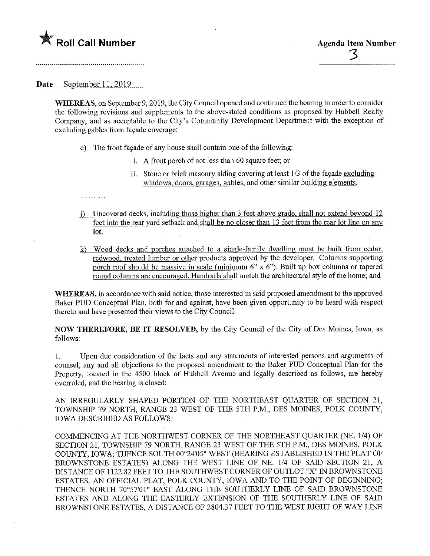

Date September 11, 2019......

WHEREAS, on September 9, 2019, the City Council opened and continued the hearing in order to consider the following revisions and supplements to the above-stated conditions as proposed by Hubbell Realty Company, and as acceptable to the City's Community Development Department with the exception of excluding gables from facade coverage:

- c) The front facade of any house shall contain one of the following:
	- i. A front porch of not less than 60 square feet; or
	- ii. Stone or brick masonry siding covering at least  $1/3$  of the façade excluding windows, doors, garages, gables, and other similar building elements.
- . . . . . . . . . .
- j) Uncovered decks, including those higher than 3 feet above grade, shall not extend beyond 12 feet into the rear yard setback and shall be no closer than 13 feet from the rear lot line on any lot
- k) Wood decks and porches attached to a single-family dwelling must be built from cedar, redwood, treated lumber or other products approved by the developer. Columns supporting porch roof should be massive in scale (minimum  $6" \times 6"$ ). Built up box columns or tapered round columns are encouraged. Handrails shall match the architectural style of the home; and

WHEREAS, in accordance with said notice, those interested in said proposed amendment to the approved Baker PUD Conceptual Plan, both for and against, have been given opportunity to be heard with respect thereto and have presented their views to the City Council.

NOW THEREFORE, BE IT RESOLVED, by the City Council of the City of Des Moines, Iowa, as follows:

1. Upon due consideration of the facts and any statements of interested persons and arguments of counsel, any and all objections to the proposed amendment to the Baker PUD Conceptual Plan for the Property, located in the 4500 block of Hubbell Avenue and legally described as follows, are hereby overruled, and the hearing is closed:

AN IRREGULARLY SHAPED PORTION OF THE NORTHEAST QUARTER OF SECTION 21, TOWNSHIP 79 NORTH, RANGE 23 WEST OF THE 5TH P.M., DES MOINES, POLK COUNTY, IOWA DESCRIBED AS FOLLOWS:

COMMENCING AT THE NORTHWEST CORNER OF THE NORTHEAST QUARTER (NE. 1/4) OF SECTION 21, TOWNSHIP 79 NORTH, RANGE 23 WEST OF THE 5TH P.M., DES MOINES, POLK COUNTY, IOWA; THENCE SOUTH 00°24'05" WEST (BEARING ESTABLISHED IN THE PLAT OF BROWNSTONE ESTATES) ALONG THE WEST LINE OF NE. 1/4 OF SAID SECTION 21, A DISTANCE OF 1122.82 FEET TO THE SOUTHWEST CORNER OF OUTLOT "X" IN BROWNSTONE ESTATES, AN OFFICIAL PLAT, POLK COUNTY, IOWA AND TO THE POINT OF BEGINNING; THENCE NORTH 70°57'01" EAST ALONG THE SOUTHERLY UNE OF SAID BROWNSTONE ESTATES AND ALONG THE EASTERLY EXTENSION OF THE SOUTHERLY LINE OF SAID BROWNSTONE ESTATES, A DISTANCE OF 2804.37 FEET TO THE WEST RIGHT OF WAY LINE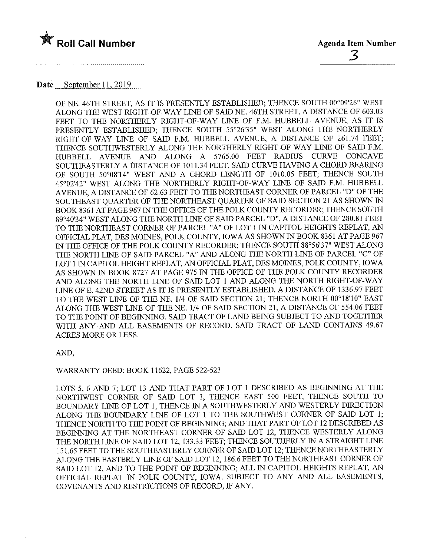

### Date September 11, 2019.

OF NE. 46TH STREET, AS IT IS PRESENTLY ESTABLISHED; THENCE SOUTH 00°09'26" WEST ALONG THE WEST RIGHT-OF-WAY LINE OF SAID NE. 46TH STREET, A DISTANCE OF 603.03 FEET TO THE NORTHERLY RIGHT-OF-WAY LINE OF F.M. HUBBELL AVENUE, AS IT IS PRESENTLY ESTABLISHED; THENCE SOUTH 55°26'35" WEST ALONG THE NORTHERLY RIGHT-OF-WAY LINE OF SAID F.M. HUBBELL AVENUE, A DISTANCE OF 261.74 FEET; THENCE SOUTHWESTERLY ALONG THE NORTHERLY RIGHT-OF-WAY LINE OF SAID F.M. HUBBELL AVENUE AND ALONG A 5765.00 FEET RADRJS CURVE CONCAVE SOUTHEASTERLY A DISTANCE OF 1011.34 FEET, SAID CURVE HAVING A CHORD BEARING OF SOUTH 50°08'14" WEST AND A CHORD LENGTH OF 1010.05 FEET; THENCE SOUTH 45°02f42" WEST ALONG THE NORTHERLY RIGHT-OF-WAY LINE OF SAID P.M. HUBBELL AVENUE, A DISTANCE OF 62.63 FEET TO THE NORTHEAST CORNER OF PARCEL "D" OF THE SOUTHEAST QUARTER OF THE NORTHEAST QUARTER OF SAID SECTION 21 AS SHOWN IN BOOK 8361 AT PAGE 967 IN THE OFFICE OF THE POLK COUNTY RECORDER; THENCE SOUTH 89°40'34" WEST ALONG THE NORTH LINE OF SAID PARCEL "D", A DISTANCE OF 280.81 FEET TO THE NORTHEAST CORNER OF PARCEL "A" OF LOT 1 IN CAPITOL HEIGHTS REPEAT, AN OFFICIAL PLAT, DES MOINES, POLK COUNTY, IOWA AS SHOWN IN BOOK 8361 AT PAGE 967 IN THE OFFICE OF THE POLK COUNTY RECORDER; THENCE SOUTH 88°56'37" WEST ALONG THE NORTH LINE OF SAID PARCEL "A" AND ALONG THE NORTH LINE OF PARCEL "C" OF LOT 1 IN CAPITOL HEIGHT REPLAT, AN OFFICIAL PLAT, DES MOINES, POLK COUNTY, IOWA AS SHOWN IN BOOK 8727 AT PAGE 975 IN THE OFFICE OF THE POLK COUNTY RECORDER AND ALONG THE NORTH UNE OF SAID LOT 1 AND ALONG THE NORTH RIGHT-OF-WAY LINE OF E. 42ND STREET AS IT IS PRESENTLY ESTABLISHED, A DISTANCE OF 1336.97 FEET TO THE WEST LINE OF THE NE. 1/4 OF SAID SECTION 21; THENCE NORTH 00°18'10" EAST ALONG THE WEST LINE OF THE NE. 1/4 OF SAID SECTION 21, A DISTANCE OF 554.06 FEET TO THE POINT OF BEGINNING. SAID TRACT OF LAND BEING SUBJECT TO AND TOGETHER WITH ANY AND ALL EASEMENTS OF RECORD. SAID TRACT OF LAND CONTAINS 49.67 ACRES MORE OR LESS.

AND,

### WARRANTY DEED: BOOK 11622, PAGE 522-523

LOTS 5, 6 AND 7; LOT 13 AND THAT PART OF LOT 1 DESCRIBED AS BEGINNING AT THE NORTHWEST CORNER OF SAID LOT 1, THENCE EAST 500 FEET, THENCE SOUTH TO BOUNDARY LINE OF LOT 1, THENCE IN A SOUTHWESTERLY AND WESTERLY DIRECTION ALONG THE BOUNDARY LINE OF LOT 1 TO THE SOUTHWEST CORNER OF SAID LOT 1; THENCE NORTH TO THE POINT OF BEGINNING; AND THAT PART OF LOT 12 DESCRIBED AS BEGINNING AT THE NORTHEAST CORNER OF SAID LOT 12, THENCE WESTERLY ALONG THE NORTH LINE OF SAID LOT 12, 133.33 FEET; THENCE SOUTHERLY IN A STRAIGHT LINE 151.65 FEET TO THE SOUTHEASTERLY CORNER OF SAID LOT 12; THENCE NORTHEASTERLY ALONG THE EASTERLY LINE OF SAID LOT 12, 186.6 FEET TO THE NORTHEAST CORNER OF SAID LOT 12, AND TO THE POINT OF BEGINNING; ALL IN CAPITOL HEIGHTS REPLAT, AN OFFICIAL REPLAT IN POLK COUNTY, IOWA. SUBJECT TO ANY AND ALL EASEMENTS, COVENANTS AND RESTRICTIONS OF RECORD, IF ANY.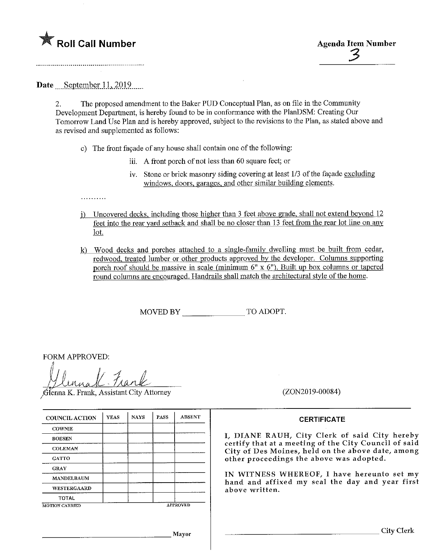

Date September 11, 2019.

2. The proposed amendment to the Baker PUD Conceptual Plan, as on file in the Community Development Department, is hereby found to be in confonnance with the PlanDSM: Creating Our Tomorrow Land Use Plan and is hereby approved, subject to the revisions to the Plan, as stated above and as revised and supplemented as follows:

c) The front facade of any house shall contain one of the following:

- iii. A front porch of not less than 60 square feet; or
- iv. Stone or brick masonry siding covering at least  $1/3$  of the façade excluding windows, doors, garages, and other similar building elements.

. . . . . . . . . .

- $j$ ) Uncovered decks, including those higher than 3 feet above grade, shall not extend beyond 12 feet into the rear yard setback and shall be no closer than 13 feet from the rear lot line on any lot
- k) Wood decks and porches attached to a single-family dwelling must be built from cedar, redwood, treated lumber or other products approved by the developer. Columns supporting porch roof should be massive in scale (minimum  $6"$  x  $6"$ ). Built up box columns or tapered round columns are encouraged. Handrails shall match the architectural style of the home.

MOVED BY TO ADOPT.

FORM APPROVED:

Glenna K. Frank, Assistant City Attorney (ZON2019-00084)

### **CERTIFICATE**

I, DIANE RAUH, City Clerk of said City hereby certify that at a meeting of the City Council of said City of Des Moines, held on the above date, among other proceedings the above was adopted.

IN WITNESS WHEREOF, I have hereunto set my hand and affixed my seal the day and year first above written.

| <b>COUNCIL ACTION</b> | <b>YEAS</b> | <b>NAYS</b> | <b>PASS</b>     | <b>ABSENT</b> |
|-----------------------|-------------|-------------|-----------------|---------------|
| <b>COWNIE</b>         |             |             |                 |               |
| <b>BOESEN</b>         |             |             |                 |               |
| <b>COLEMAN</b>        |             |             |                 |               |
| <b>GATTO</b>          |             |             |                 |               |
| <b>GRAY</b>           |             |             |                 |               |
| <b>MANDELBAUM</b>     |             |             |                 |               |
| <b>WESTERGAARD</b>    |             |             |                 |               |
| <b>TOTAL</b>          |             |             |                 |               |
| <b>MOTION CARRIED</b> |             |             | <b>APPROVED</b> |               |

Mayor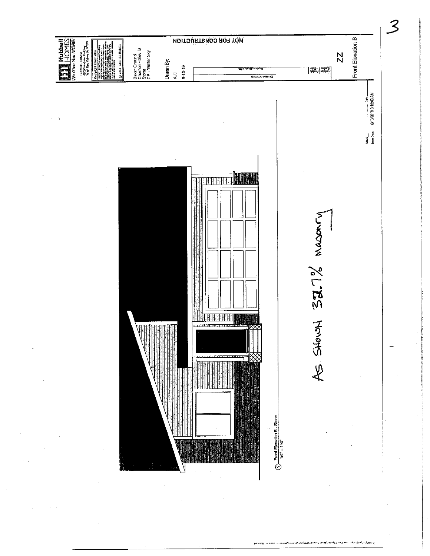

ա, ահոց\տան⊥ը ≂որ што «մատ\ա5տար\ահ: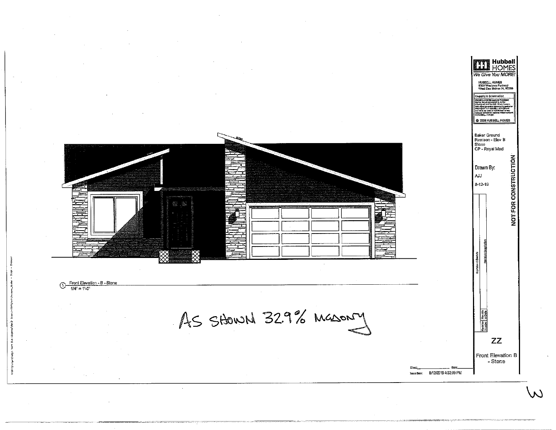**TITI Hubbell**<br>LLLL HOMES We Give You MORE! HUBBELL HOMES<br>5500 Westown Parkway<br>West Das Moines 1A, 50288 Copyright Information .<br>UNIBELL HORRES reserval Prostag<br>units, laciusing committe, le final<br>swisa ast and the strik movem iture @ 2008 HUBBELL HOMES Baker Ground<br>Remson - Elev B<br>Stone<br>CP - Royal Mod NOTIFOR CONSIRUCTION Drawn By: AIJ  $3 - 12 - 19$  $\mathbb{C}$  .  $\mathbb{Z}$ Front Elevation - B - Stone<br> $1/4" = 1'-0"$  $\bigcap$ AS SHOWN 32.9% Masonry Rowiston Revisto<br>Number n Data **ZZ** engen de saak lakte Front Elevation B - Stone Clim Date Issue Date: 8/12/2019 4:32:09 PM  $\sim$  $\overline{\mathcal{L}}$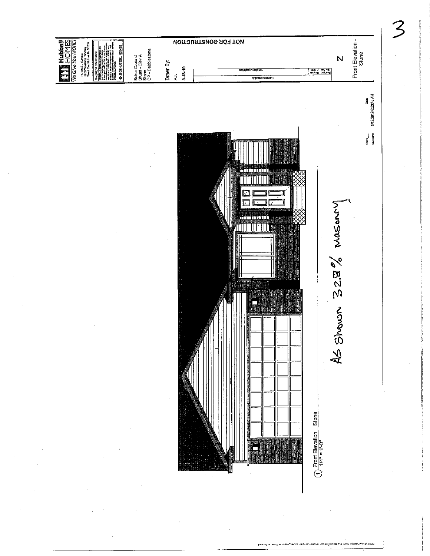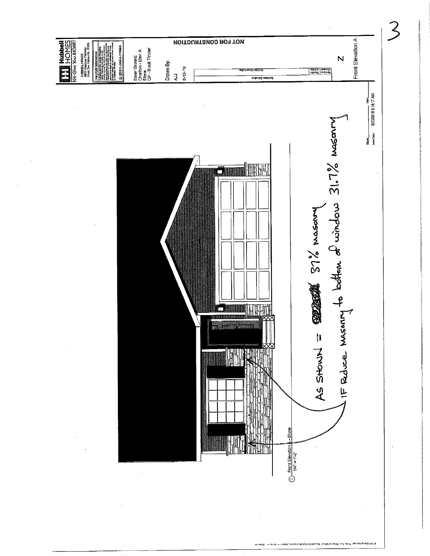

ETquee Altaker Gravnd-Dättyreid (Erastie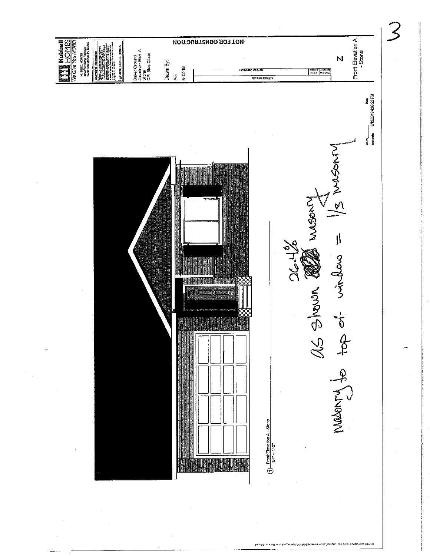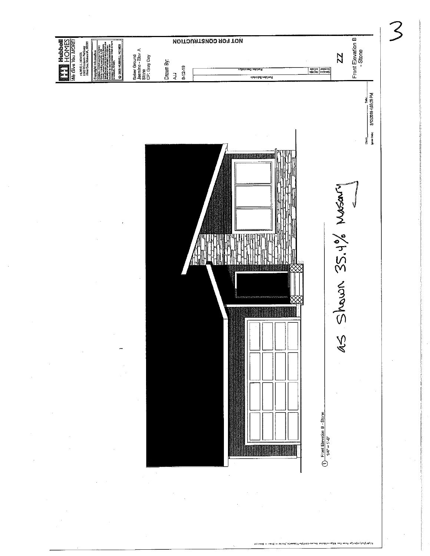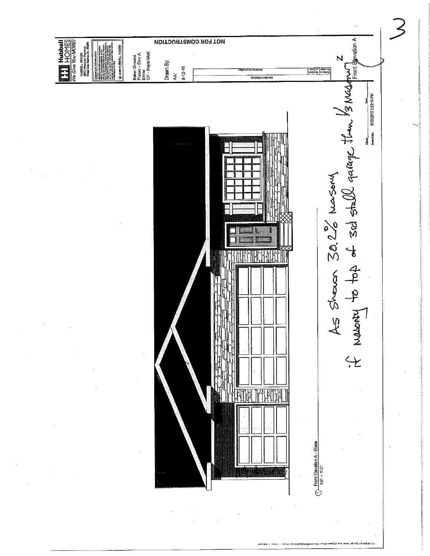